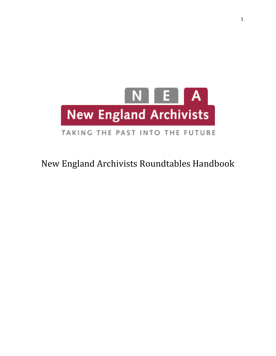

# TAKING THE PAST INTO THE FUTURE

# New England Archivists Roundtables Handbook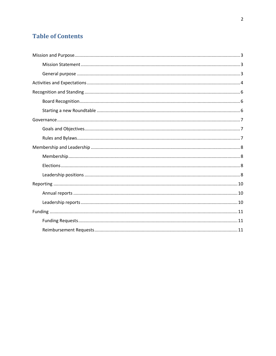# **Table of Contents**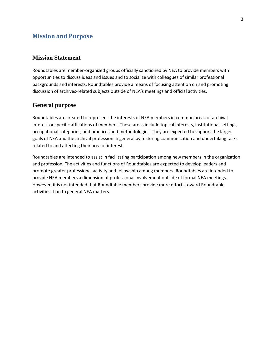## <span id="page-2-0"></span>**Mission and Purpose**

#### <span id="page-2-1"></span>**Mission Statement**

Roundtables are member-organized groups officially sanctioned by NEA to provide members with opportunities to discuss ideas and issues and to socialize with colleagues of similar professional backgrounds and interests. Roundtables provide a means of focusing attention on and promoting discussion of archives-related subjects outside of NEA's meetings and official activities.

#### <span id="page-2-2"></span>**General purpose**

Roundtables are created to represent the interests of NEA members in common areas of archival interest or specific affiliations of members. These areas include topical interests, institutional settings, occupational categories, and practices and methodologies. They are expected to support the larger goals of NEA and the archival profession in general by fostering communication and undertaking tasks related to and affecting their area of interest.

Roundtables are intended to assist in facilitating participation among new members in the organization and profession. The activities and functions of Roundtables are expected to develop leaders and promote greater professional activity and fellowship among members. Roundtables are intended to provide NEA members a dimension of professional involvement outside of formal NEA meetings. However, it is not intended that Roundtable members provide more efforts toward Roundtable activities than to general NEA matters.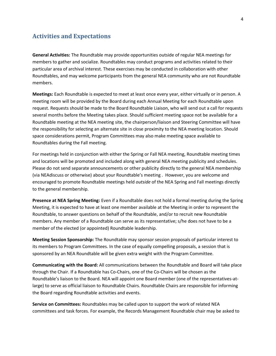## <span id="page-3-0"></span>**Activities and Expectations**

**General Activities:** The Roundtable may provide opportunities outside of regular NEA meetings for members to gather and socialize. Roundtables may conduct programs and activities related to their particular area of archival interest. These exercises may be conducted in collaboration with other Roundtables, and may welcome participants from the general NEA community who are not Roundtable members.

**Meetings:** Each Roundtable is expected to meet at least once every year, either virtually or in person. A meeting room will be provided by the Board during each Annual Meeting for each Roundtable upon request. Requests should be made to the Board Roundtable Liaison, who will send out a call for requests several months before the Meeting takes place. Should sufficient meeting space not be available for a Roundtable meeting at the NEA meeting site, the chairperson/liaison and Steering Committee will have the responsibility for selecting an alternate site in close proximity to the NEA meeting location. Should space considerations permit, Program Committees may also make meeting space available to Roundtables during the Fall meeting.

For meetings held in conjunction with either the Spring or Fall NEA meeting, Roundtable meeting times and locations will be promoted and included along with general NEA meeting publicity and schedules. Please do not send separate announcements or other publicity directly to the general NEA membership (via NEAdiscuss or otherwise) about your Roundtable's meeting . However, you are welcome and encouraged to promote Roundtable meetings held *outside* of the NEA Spring and Fall meetings directly to the general membership.

**Presence at NEA Spring Meeting:** Even if a Roundtable does not hold a formal meeting during the Spring Meeting, it is expected to have at least one member available at the Meeting in order to represent the Roundtable, to answer questions on behalf of the Roundtable, and/or to recruit new Roundtable members. Any member of a Roundtable can serve as its representative; s/he does not have to be a member of the elected (or appointed) Roundtable leadership.

**Meeting Session Sponsorship:** The Roundtable may sponsor session proposals of particular interest to its members to Program Committees. In the case of equally compelling proposals, a session that is sponsored by an NEA Roundtable will be given extra weight with the Program Committee.

**Communicating with the Board:** All communications between the Roundtable and Board will take place through the Chair. If a Roundtable has Co-Chairs, one of the Co-Chairs will be chosen as the Roundtable's liaison to the Board. NEA will appoint one Board member (one of the representatives-atlarge) to serve as official liaison to Roundtable Chairs. Roundtable Chairs are responsible for informing the Board regarding Roundtable activities and events.

**Service on Committees:** Roundtables may be called upon to support the work of related NEA committees and task forces. For example, the Records Management Roundtable chair may be asked to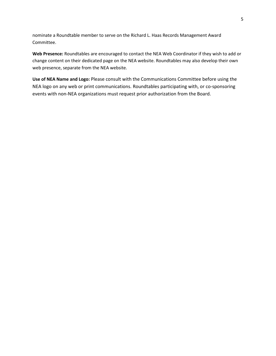nominate a Roundtable member to serve on the Richard L. Haas Records Management Award Committee.

**Web Presence:** Roundtables are encouraged to contact the NEA Web Coordinator if they wish to add or change content on their dedicated page on the NEA website. Roundtables may also develop their own web presence, separate from the NEA website.

**Use of NEA Name and Logo:** Please consult with the Communications Committee before using the NEA logo on any web or print communications. Roundtables participating with, or co-sponsoring events with non-NEA organizations must request prior authorization from the Board.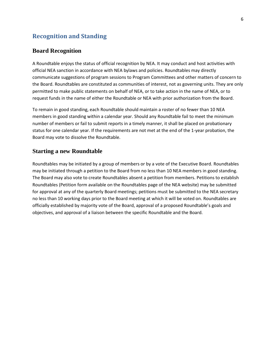## <span id="page-5-1"></span><span id="page-5-0"></span>**Recognition and Standing**

#### **Board Recognition**

A Roundtable enjoys the status of official recognition by NEA. It may conduct and host activities with official NEA sanction in accordance with NEA bylaws and policies. Roundtables may directly communicate suggestions of program sessions to Program Committees and other matters of concern to the Board. Roundtables are constituted as communities of interest, not as governing units. They are only permitted to make public statements on behalf of NEA, or to take action in the name of NEA, or to request funds in the name of either the Roundtable or NEA with prior authorization from the Board.

To remain in good standing, each Roundtable should maintain a roster of no fewer than 10 NEA members in good standing within a calendar year. Should any Roundtable fail to meet the minimum number of members or fail to submit reports in a timely manner, it shall be placed on probationary status for one calendar year. If the requirements are not met at the end of the 1-year probation, the Board may vote to dissolve the Roundtable.

#### <span id="page-5-2"></span>**Starting a new Roundtable**

Roundtables may be initiated by a group of members or by a vote of the Executive Board. Roundtables may be initiated through a petition to the Board from no less than 10 NEA members in good standing. The Board may also vote to create Roundtables absent a petition from members. Petitions to establish Roundtables (Petition form available on the Roundtables page of the NEA website) may be submitted for approval at any of the quarterly Board meetings; petitions must be submitted to the NEA secretary no less than 10 working days prior to the Board meeting at which it will be voted on. Roundtables are officially established by majority vote of the Board, approval of a proposed Roundtable's goals and objectives, and approval of a liaison between the specific Roundtable and the Board.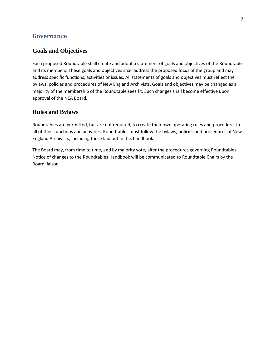## <span id="page-6-0"></span>**Governance**

## <span id="page-6-1"></span>**Goals and Objectives**

Each proposed Roundtable shall create and adopt a statement of goals and objectives of the Roundtable and its members. These goals and objectives shall address the proposed focus of the group and may address specific functions, activities or issues. All statements of goals and objectives must reflect the bylaws, policies and procedures of New England Archivists. Goals and objectives may be changed as a majority of the membership of the Roundtable sees fit. Such changes shall become effective upon approval of the NEA Board.

## <span id="page-6-2"></span>**Rules and Bylaws**

Roundtables are permitted, but are not required, to create their own operating rules and procedure. In all of their functions and activities, Roundtables must follow the bylaws, policies and procedures of New England Archivists, including those laid out in this handbook.

The Board may, from time to time, and by majority vote, alter the procedures governing Roundtables. Notice of changes to the Roundtables Handbook will be communicated to Roundtable Chairs by the Board liaison.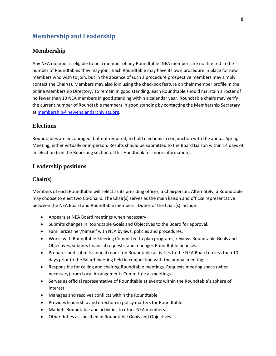## <span id="page-7-0"></span>**Membership and Leadership**

#### <span id="page-7-1"></span>**Membership**

Any NEA member is eligible to be a member of any Roundtable. NEA members are not limited in the number of Roundtables they may join. Each Roundtable may have its own procedure in place for new members who wish to join, but in the absence of such a procedure prospective members may simply contact the Chair(s). Members may also join using the checkbox feature on their member profile in the online Membership Directory. To remain in good standing, each Roundtable should maintain a roster of no fewer than 10 NEA members in good standing within a calendar year. Roundtable chairs may verify the current number of Roundtable members in good standing by contacting the Membership Secretary a[t membership@newenglandarchivists.org.](mailto:membership@newenglandarchivists.org)

### <span id="page-7-2"></span>**Elections**

Roundtables are encouraged, but not required, to hold elections in conjunction with the annual Spring Meeting, either virtually or in-person. Results should be submitted to the Board Liaison within 14 days of an election (see the Reporting section of this Handbook for more information).

## <span id="page-7-3"></span>**Leadership positions**

#### **Chair(s)**

Members of each Roundtable will select as its presiding officer, a Chairperson. Alternately, a Roundtable may choose to elect two Co-Chairs. The Chair(s) serves as the main liaison and official representative between the NEA Board and Roundtable members. Duties of the Chair(s) include:

- Appears at NEA Board meetings when necessary.
- Submits changes in Roundtable Goals and Objectives to the Board for approval.
- Familiarizes her/himself with NEA bylaws, policies and procedures.
- Works with Roundtable Steering Committee to plan programs, reviews Roundtable Goals and Objectives, submits financial requests, and manages Roundtable finances.
- Prepares and submits annual report on Roundtable activities to the NEA Board no less than 10 days prior to the Board meeting held in conjunction with the annual meeting.
- Responsible for calling and chairing Roundtable meetings. Requests meeting space (when necessary) from Local Arrangements Committee at meetings.
- Serves as official representative of Roundtable at events within the Roundtable's sphere of interest.
- Manages and resolves conflicts within the Roundtable.
- Provides leadership and direction in policy matters for Roundtable.
- Markets Roundtable and activities to other NEA members.
- Other duties as specified in Roundtable Goals and Objectives.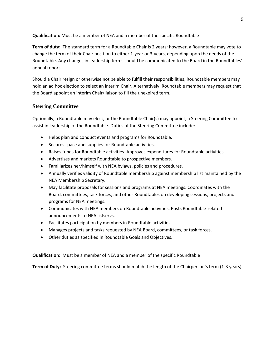**Qualification:** Must be a member of NEA and a member of the specific Roundtable

**Term of duty:** The standard term for a Roundtable Chair is 2 years; however, a Roundtable may vote to change the term of their Chair position to either 1-year or 3-years, depending upon the needs of the Roundtable. Any changes in leadership terms should be communicated to the Board in the Roundtables' annual report.

Should a Chair resign or otherwise not be able to fulfill their responsibilities, Roundtable members may hold an ad hoc election to select an interim Chair. Alternatively, Roundtable members may request that the Board appoint an interim Chair/liaison to fill the unexpired term.

#### **Steering Committee**

Optionally, a Roundtable may elect, or the Roundtable Chair(s) may appoint, a Steering Committee to assist in leadership of the Roundtable. Duties of the Steering Committee include:

- Helps plan and conduct events and programs for Roundtable.
- Secures space and supplies for Roundtable activities.
- Raises funds for Roundtable activities. Approves expenditures for Roundtable activities.
- Advertises and markets Roundtable to prospective members.
- Familiarizes her/himself with NEA bylaws, policies and procedures.
- Annually verifies validity of Roundtable membership against membership list maintained by the NEA Membership Secretary.
- May facilitate proposals for sessions and programs at NEA meetings. Coordinates with the Board, committees, task forces, and other Roundtables on developing sessions, projects and programs for NEA meetings.
- Communicates with NEA members on Roundtable activities. Posts Roundtable-related announcements to NEA listservs.
- Facilitates participation by members in Roundtable activities.
- Manages projects and tasks requested by NEA Board, committees, or task forces.
- Other duties as specified in Roundtable Goals and Objectives.

**Qualification:** Must be a member of NEA and a member of the specific Roundtable

**Term of Duty:** Steering committee terms should match the length of the Chairperson's term (1-3 years).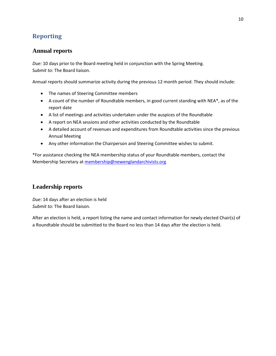# <span id="page-9-0"></span>**Reporting**

## <span id="page-9-1"></span>**Annual reports**

*Due:* 10 days prior to the Board meeting held in conjunction with the Spring Meeting. S*ubmit to:* The Board liaison.

Annual reports should summarize activity during the previous 12 month period. They should include:

- The names of Steering Committee members
- A count of the number of Roundtable members, in good current standing with NEA\*, as of the report date
- A list of meetings and activities undertaken under the auspices of the Roundtable
- A report on NEA sessions and other activities conducted by the Roundtable
- A detailed account of revenues and expenditures from Roundtable activities since the previous Annual Meeting
- Any other information the Chairperson and Steering Committee wishes to submit.

\*For assistance checking the NEA membership status of your Roundtable members, contact the Membership Secretary at [membership@newenglandarchivists.org](mailto:membership@newenglandarchivists.org)

## <span id="page-9-2"></span>**Leadership reports**

*Due:* 14 days after an election is held *Submit to:* The Board liaison.

After an election is held, a report listing the name and contact information for newly elected Chair(s) of a Roundtable should be submitted to the Board no less than 14 days after the election is held.